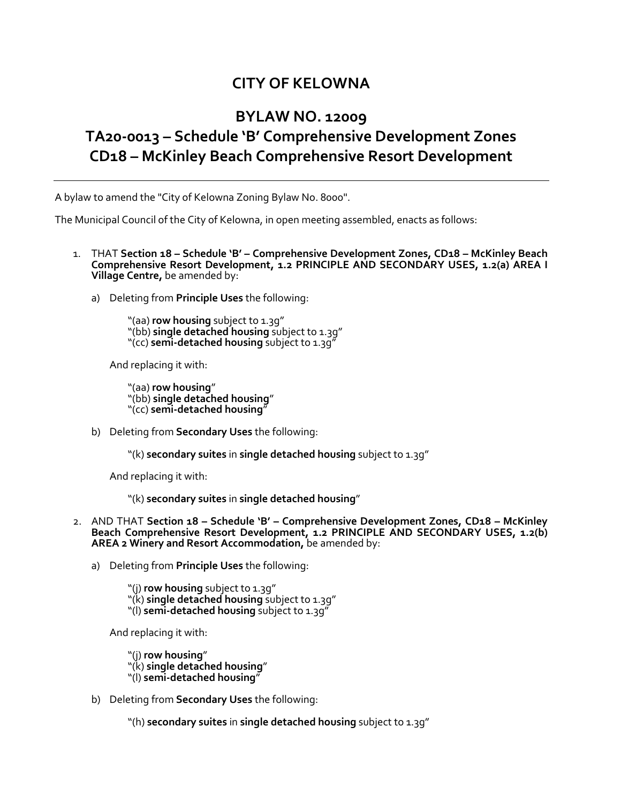## **CITY OF KELOWNA**

## **BYLAW NO. 12009 TA20-0013 – Schedule 'B' Comprehensive Development Zones CD18 – McKinley Beach Comprehensive Resort Development**

A bylaw to amend the "City of Kelowna Zoning Bylaw No. 8000".

The Municipal Council of the City of Kelowna, in open meeting assembled, enacts as follows:

- 1. THAT **Section 18 – Schedule 'B' – Comprehensive Development Zones, CD18 – McKinley Beach Comprehensive Resort Development, 1.2 PRINCIPLE AND SECONDARY USES, 1.2(a) AREA I Village Centre,** be amended by:
	- a) Deleting from **Principle Uses** the following:

"(aa) **row housing** subject to 1.3g" "(bb) **single detached housing** subject to 1.3g" "(cc) **semi-detached housing** subject to 1.3g"

And replacing it with:

"(aa) **row housing**" "(bb) **single detached housing**" "(cc) **semi-detached housing**"

b) Deleting from **Secondary Uses** the following:

"(k) **secondary suites** in **single detached housing** subject to 1.3g"

And replacing it with:

"(k) **secondary suites** in **single detached housing**"

- 2. AND THAT **Section 18 – Schedule 'B' – Comprehensive Development Zones, CD18 – McKinley Beach Comprehensive Resort Development, 1.2 PRINCIPLE AND SECONDARY USES, 1.2(b) AREA 2 Winery and Resort Accommodation,** be amended by:
	- a) Deleting from **Principle Uses** the following:

"(j) **row housing** subject to 1.3g" "(k) **single detached housing** subject to 1.3g" "(l) **semi-detached housing** subject to 1.3g"

And replacing it with:

"(j) **row housing**" "(k) **single detached housing**" "(l) **semi-detached housing**"

b) Deleting from **Secondary Uses** the following:

"(h) **secondary suites** in **single detached housing** subject to 1.3g"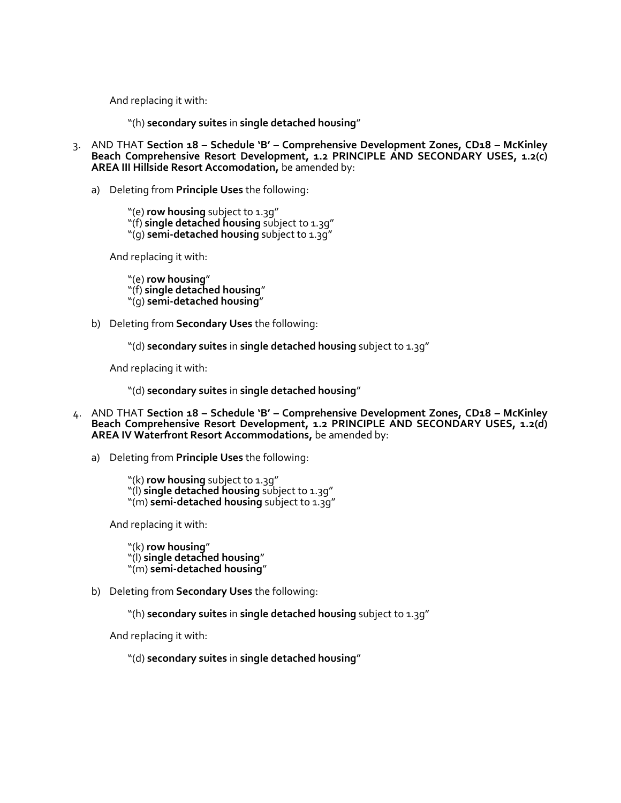And replacing it with:

"(h) **secondary suites** in **single detached housing**"

- 3. AND THAT **Section 18 – Schedule 'B' – Comprehensive Development Zones, CD18 – McKinley Beach Comprehensive Resort Development, 1.2 PRINCIPLE AND SECONDARY USES, 1.2(c) AREA III Hillside Resort Accomodation,** be amended by:
	- a) Deleting from **Principle Uses** the following:

"(e) **row housing** subject to 1.3g" "(f) single detached housing subject to 1.3g" "(g) **semi-detached housing** subject to 1.3g"

And replacing it with:

"(e) **row housing**" "(f) **single detached housing**" "(g) **semi-detached housing**"

b) Deleting from **Secondary Uses** the following:

"(d) **secondary suites** in **single detached housing** subject to 1.3g"

And replacing it with:

"(d) **secondary suites** in **single detached housing**"

- 4. AND THAT **Section 18 – Schedule 'B' – Comprehensive Development Zones, CD18 – McKinley Beach Comprehensive Resort Development, 1.2 PRINCIPLE AND SECONDARY USES, 1.2(d) AREA IV Waterfront Resort Accommodations,** be amended by:
	- a) Deleting from **Principle Uses** the following:

"(k) **row housing** subject to 1.3q" "(l) **single detached housing** subject to 1.3g" "(m) **semi-detached housing** subject to 1.3g"

And replacing it with:

"(k) **row housing**" "(l) **single detached housing**" "(m) **semi-detached housing**"

b) Deleting from **Secondary Uses** the following:

"(h) **secondary suites** in **single detached housing** subject to 1.3g"

And replacing it with:

"(d) **secondary suites** in **single detached housing**"